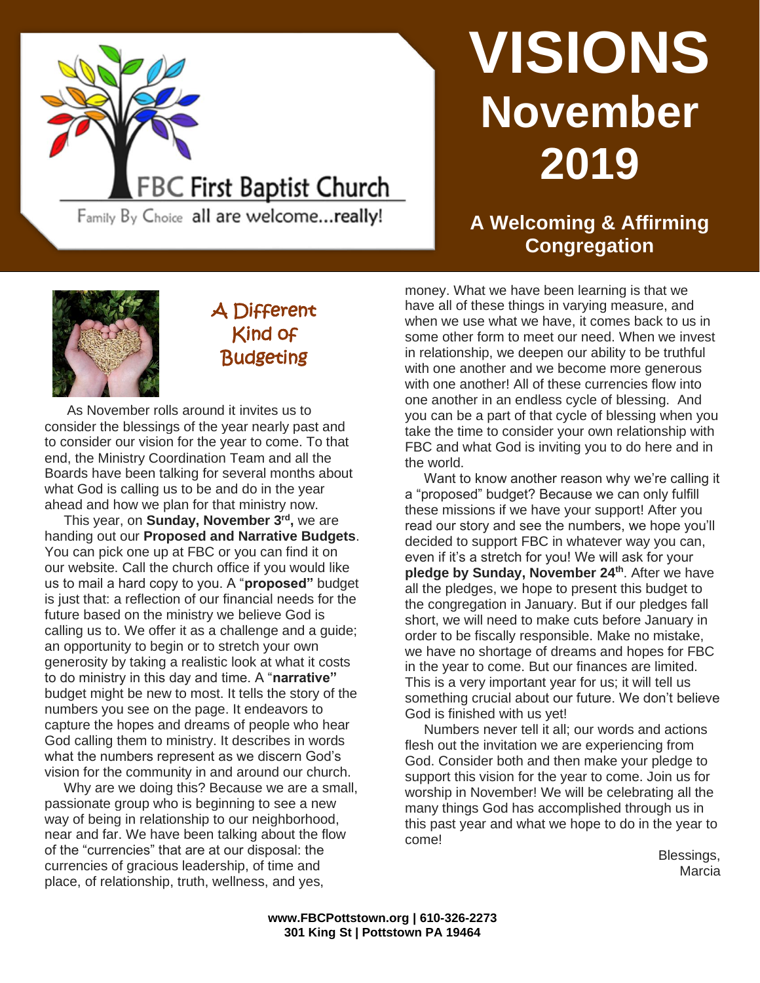

# **VISIONS November 2019**

## **A Welcoming & Affirming Congregation**



# A Different Kind of **Budgeting**

Family By Choice all are welcome...really!

As November rolls around it invites us to consider the blessings of the year nearly past and to consider our vision for the year to come. To that end, the Ministry Coordination Team and all the Boards have been talking for several months about what God is calling us to be and do in the year ahead and how we plan for that ministry now.

 This year, on **Sunday, November 3rd ,** we are handing out our **Proposed and Narrative Budgets**. You can pick one up at FBC or you can find it on our website. Call the church office if you would like us to mail a hard copy to you. A "**proposed"** budget is just that: a reflection of our financial needs for the future based on the ministry we believe God is calling us to. We offer it as a challenge and a guide; an opportunity to begin or to stretch your own generosity by taking a realistic look at what it costs to do ministry in this day and time. A "**narrative"** budget might be new to most. It tells the story of the numbers you see on the page. It endeavors to capture the hopes and dreams of people who hear God calling them to ministry. It describes in words what the numbers represent as we discern God's vision for the community in and around our church.

 Why are we doing this? Because we are a small, passionate group who is beginning to see a new way of being in relationship to our neighborhood, near and far. We have been talking about the flow of the "currencies" that are at our disposal: the currencies of gracious leadership, of time and place, of relationship, truth, wellness, and yes,

money. What we have been learning is that we have all of these things in varying measure, and when we use what we have, it comes back to us in some other form to meet our need. When we invest in relationship, we deepen our ability to be truthful with one another and we become more generous with one another! All of these currencies flow into one another in an endless cycle of blessing. And you can be a part of that cycle of blessing when you take the time to consider your own relationship with FBC and what God is inviting you to do here and in the world.

 Want to know another reason why we're calling it a "proposed" budget? Because we can only fulfill these missions if we have your support! After you read our story and see the numbers, we hope you'll decided to support FBC in whatever way you can, even if it's a stretch for you! We will ask for your **pledge by Sunday, November 24th**. After we have all the pledges, we hope to present this budget to the congregation in January. But if our pledges fall short, we will need to make cuts before January in order to be fiscally responsible. Make no mistake, we have no shortage of dreams and hopes for FBC in the year to come. But our finances are limited. This is a very important year for us; it will tell us something crucial about our future. We don't believe God is finished with us yet!

 Numbers never tell it all; our words and actions flesh out the invitation we are experiencing from God. Consider both and then make your pledge to support this vision for the year to come. Join us for worship in November! We will be celebrating all the many things God has accomplished through us in this past year and what we hope to do in the year to come!

Blessings, Marcia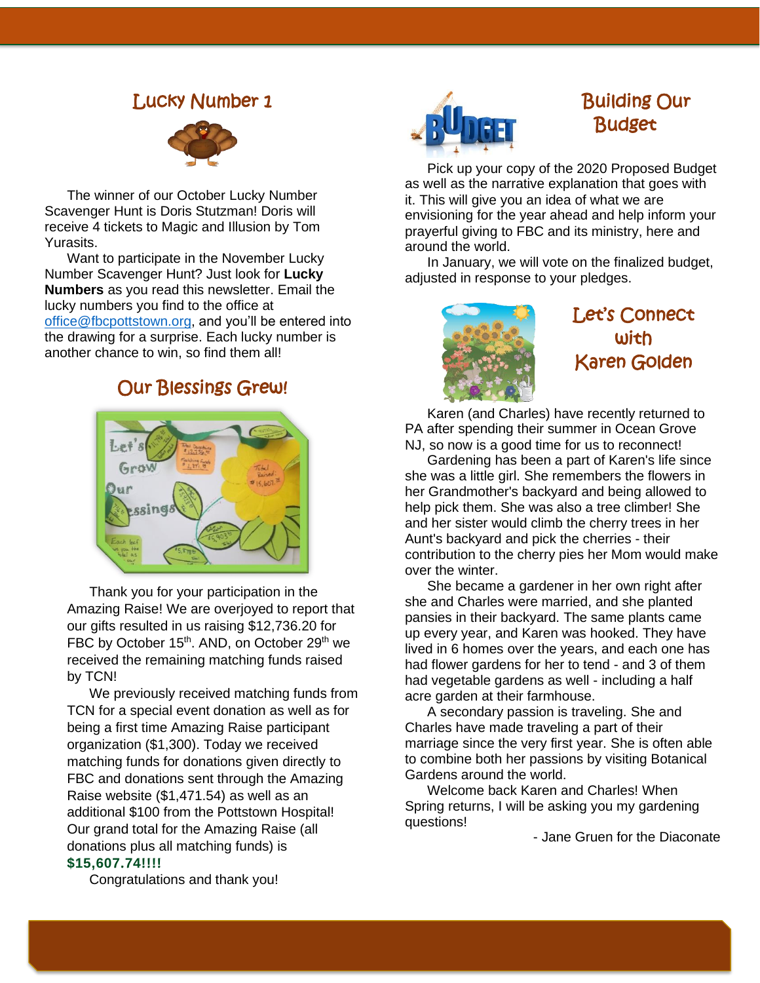#### Lucky Number 1



The winner of ou[r October](http://xelaxscrapfree.blogspot.com/2008/10/turkey-pavito.html) Lucky Number Scavenger Hunt is Doris Stutzman! Doris will receive 4 tickets to Magic and Illusion by Tom Yurasits.

Want to participa[te in the No](https://creativecommons.org/licenses/by/3.0/)vember Lucky Number Scavenger Hunt? Just look for **Lucky Numbers** as you read this newsletter. Email the lucky numbers you find to the office at [office@fbcpottstown.org,](mailto:office@fbcpottstown.org) and you'll be entered into the drawing for a surprise. Each lucky number is another chance to win, so find them all!

### Our Blessings Grew!



Thank you for your participation in the Amazing Raise! We are overjoyed to report that our gifts resulted in us raising \$12,736.20 for FBC by October 15<sup>th</sup>. AND, on October 29<sup>th</sup> we received the remaining matching funds raised by TCN!

We previously received matching funds from TCN for a special event donation as well as for being a first time Amazing Raise participant organization (\$1,300). Today we received matching funds for donations given directly to FBC and donations sent through the Amazing Raise website (\$1,471.54) as well as an additional \$100 from the Pottstown Hospital! Our grand total for the Amazing Raise (all donations plus all matching funds) is **\$15,607.74!!!!** 



## Building Our Budget

Pick up your copy of the 2020 Proposed Budget as well as the narrative explanation that goes with it. This will give you an idea of what we are envisioning for the year ahead and help inform your prayerful giving to FBC and its ministry, here and around the world.

In January, we will vote on the finalized budget, adjusted in response to your pledges.



# Let's Connect with Karen Golden

Karen (and Charles) have recently returned to PA after spending their summer in Ocean Grove NJ, so now is a good time for us to reconnect!

Gardening has been a part of Karen's life since she was a little girl. She remembers the flowers in her Grandmother's backyard and being allowed to help pick them. She was also a tree climber! She and her sister would climb the cherry trees in her Aunt's backyard and pick the cherries - their contribution to the cherry pies her Mom would make over the winter.

She became a gardener in her own right after she and Charles were married, and she planted pansies in their backyard. The same plants came up every year, and Karen was hooked. They have lived in 6 homes over the years, and each one has had flower gardens for her to tend - and 3 of them had vegetable gardens as well - including a half acre garden at their farmhouse.

A secondary passion is traveling. She and Charles have made traveling a part of their marriage since the very first year. She is often able to combine both her passions by visiting Botanical Gardens around the world.

Welcome back Karen and Charles! When Spring returns, I will be asking you my gardening questions!

- Jane Gruen for the Diaconate

Congratulations and thank you!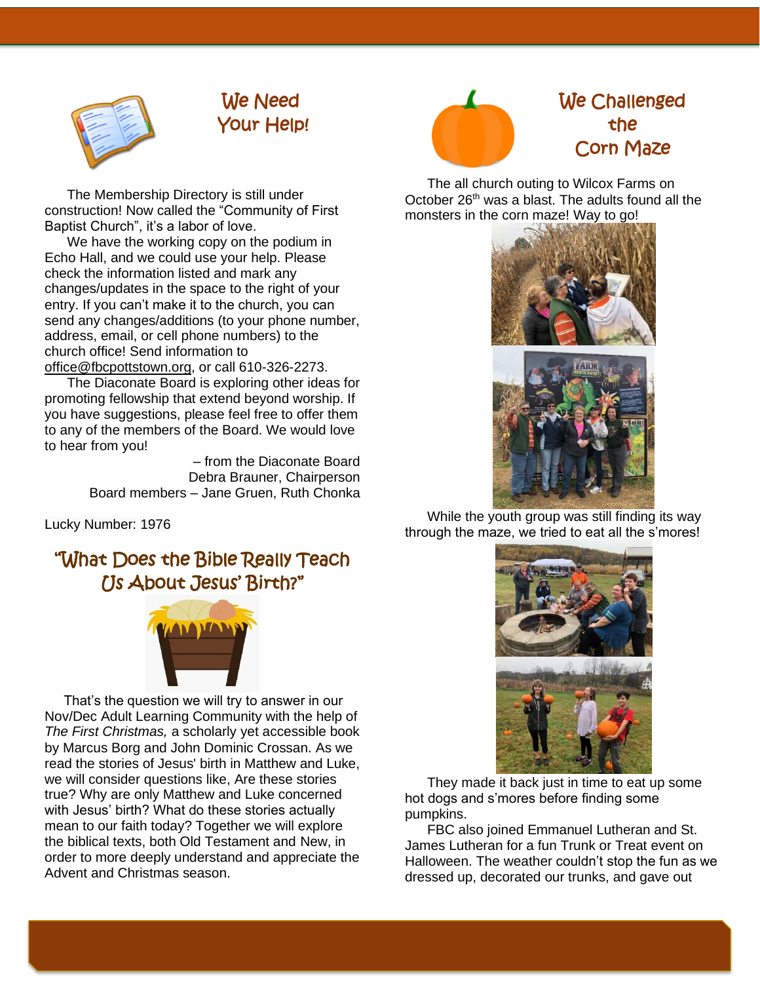

# We Need Your Help!

The Membership Directory is still under construction! Now called the "Community of First Baptist Church", it's a labor of love.

We have the working copy on the podium in Echo Hall, and we could use your help. Please check the information listed and mark any changes/updates in the space to the right of your entry. If you can't make it to the church, you can send any changes/additions (to your phone number, address, email, or cell phone numbers) to the church office! Send information to [office@fbcpottstown.org,](mailto:office@fbcpottstown.org) or call 610-326-2273.

The Diaconate Board is exploring other ideas for promoting fellowship that extend beyond worship. If you have suggestions, please feel free to offer them to any of the members of the Board. We would love to hear from you!

> – from the Diaconate Board Debra Brauner, Chairperson Board members – Jane Gruen, Ruth Chonka

Lucky Number: 1976

# "What Does the Bible Really Teach Us About Jesus' Birth?"



 That's the question we will try to answer in our Nov/Dec Adult Learning Community with the help of *The First Christmas,* a scholarly yet accessible book by Marcus Borg and John Dominic Crossan. As we read the stories of Jesus' birth in Matthew and Luke, we will consider questions like, Are these stories true? Why are only Matthew and Luke concerned with Jesus' birth? What do these stories actually mean to our faith today? Together we will explore the biblical texts, both Old Testament and New, in order to more deeply understand and appreciate the Advent and Christmas season.



# We Challenged the Corn Maze

The all church outing to Wilcox Farms on October 26<sup>th</sup> was a blast. The adults found all the monsters in the corn maze! Way to go!



While the youth group was still finding its way through the maze, we tried to eat all the s'mores!



They made it back just in time to eat up some hot dogs and s'mores before finding some pumpkins.

FBC also joined Emmanuel Lutheran and St. James Lutheran for a fun Trunk or Treat event on Halloween. The weather couldn't stop the fun as we dressed up, decorated our trunks, and gave out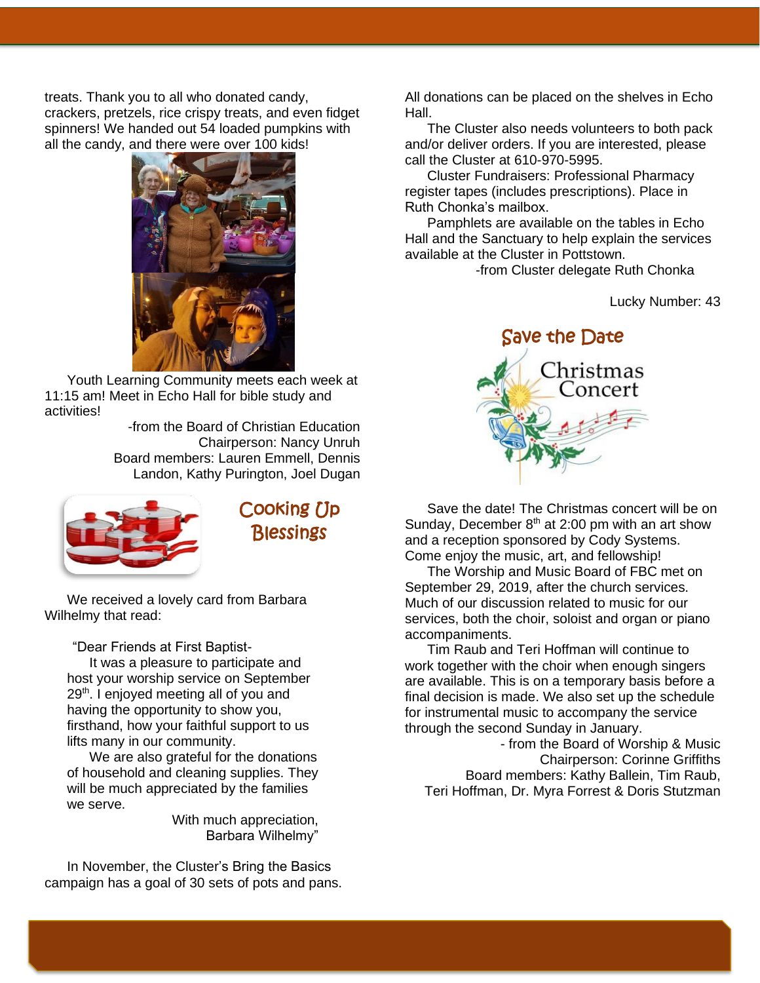treats. Thank you to all who donated candy, crackers, pretzels, rice crispy treats, and even fidget spinners! We handed out 54 loaded pumpkins with all the candy, and there were over 100 kids!



Youth Learning Community meets each week at 11:15 am! Meet in Echo Hall for bible study and activities!

> -from the Board of Christian Education Chairperson: Nancy Unruh Board members: Lauren Emmell, Dennis Landon, Kathy Purington, Joel Dugan

![](_page_3_Picture_4.jpeg)

Cooking Up **Blessings** 

We received a lovely card from Barbara Wilhelmy that read:

"Dear Friends at First Baptist-

It was a pleasure to participate and host your worship service on September 29<sup>th</sup>. I enjoyed meeting all of you and having the opportunity to show you, firsthand, how your faithful support to us lifts many in our community.

We are also grateful for the donations of household and cleaning supplies. They will be much appreciated by the families we serve.

> With much appreciation, Barbara Wilhelmy"

In November, the Cluster's Bring the Basics campaign has a goal of 30 sets of pots and pans.

All donations can be placed on the shelves in Echo Hall.

The Cluster also needs volunteers to both pack and/or deliver orders. If you are interested, please call the Cluster at 610-970-5995.

Cluster Fundraisers: Professional Pharmacy register tapes (includes prescriptions). Place in Ruth Chonka's mailbox.

Pamphlets are available on the tables in Echo Hall and the Sanctuary to help explain the services available at the Cluster in Pottstown.

-from Cluster delegate Ruth Chonka

Lucky Number: 43

![](_page_3_Picture_18.jpeg)

Save the date! The Christmas concert will be on Sunday, December  $8<sup>th</sup>$  at 2:00 pm with an art show and a reception sponsored by Cody Systems. Come enjoy the music, art, and fellowship!

The Worship and Music Board of FBC met on September 29, 2019, after the church services. Much of our discussion related to music for our services, both the choir, soloist and organ or piano accompaniments.

Tim Raub and Teri Hoffman will continue to work together with the choir when enough singers are available. This is on a temporary basis before a final decision is made. We also set up the schedule for instrumental music to accompany the service through the second Sunday in January.

- from the Board of Worship & Music Chairperson: Corinne Griffiths Board members: Kathy Ballein, Tim Raub, Teri Hoffman, Dr. Myra Forrest & Doris Stutzman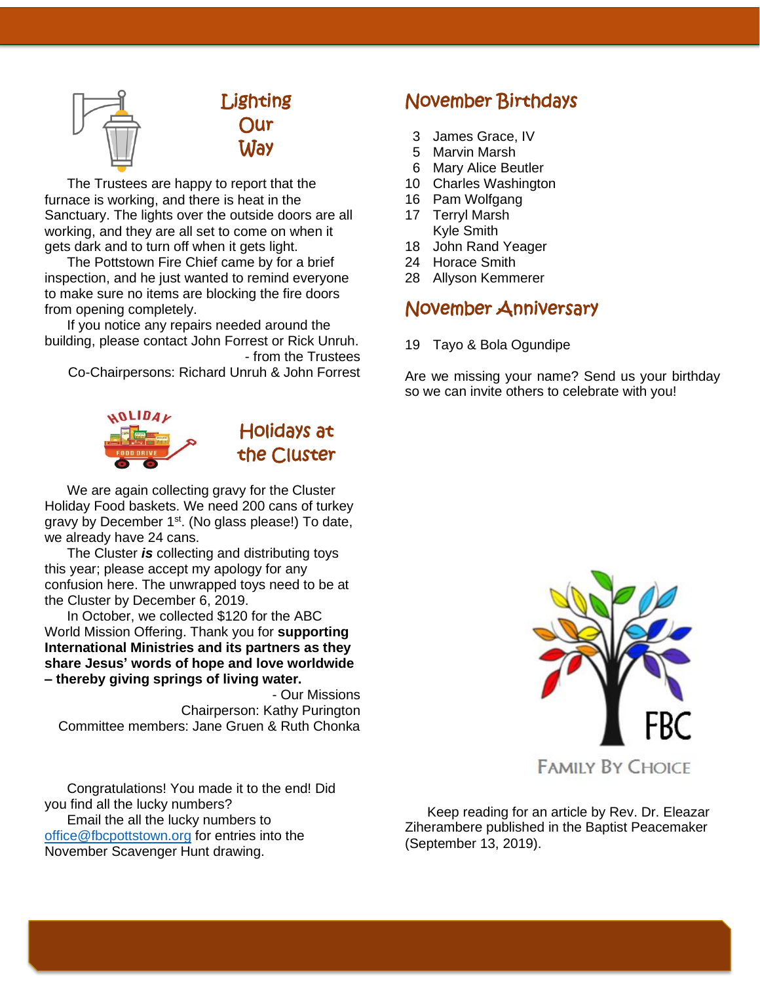![](_page_4_Picture_0.jpeg)

![](_page_4_Picture_1.jpeg)

The Trustees are happy to report that the furnace is working, and there is heat in the Sanctuary. The lights over the outside doors are all working, and they are all set to come on when it gets dark and to turn off when it gets light.

The Pottstown Fire Chief came by for a brief inspection, and he just wanted to remind everyone to make sure no items are blocking the fire doors from opening completely.

If you notice any repairs needed around the building, please contact John Forrest or Rick Unruh. - from the Trustees

Co-Chairpersons: Richard Unruh & John Forrest

![](_page_4_Picture_6.jpeg)

![](_page_4_Picture_7.jpeg)

We are again collecting gravy for the Cluster Holiday Food baskets. We need 200 cans of turkey gravy by December  $1<sup>st</sup>$ . (No glass please!) To date, we already have 24 cans.

The Cluster *is* collecting and distributing toys this year; please accept my apology for any confusion here. The unwrapped toys need to be at the Cluster by December 6, 2019.

In October, we collected \$120 for the ABC World Mission Offering. Thank you for **supporting International Ministries and its partners as they share Jesus' words of hope and love worldwide – thereby giving springs of living water.**

- Our Missions Chairperson: Kathy Purington Committee members: Jane Gruen & Ruth Chonka

Congratulations! You made it to the end! Did you find all the lucky numbers? Email the all the lucky numbers to [office@fbcpottstown.org](mailto:office@fbcpottstown.org) for entries into the November Scavenger Hunt drawing.

## November Birthdays

- 3 James Grace, IV
- 5 Marvin Marsh
- 6 Mary Alice Beutler
- 10 Charles Washington
- 16 Pam Wolfgang
- 17 Terryl Marsh Kyle Smith
- 18 John Rand Yeager
- 24 Horace Smith
- 28 Allyson Kemmerer

#### November Anniversary

19 Tayo & Bola Ogundipe

Are we missing your name? Send us your birthday so we can invite others to celebrate with you!

![](_page_4_Picture_26.jpeg)

Keep reading for an article by Rev. Dr. Eleazar Ziherambere published in the Baptist Peacemaker (September 13, 2019).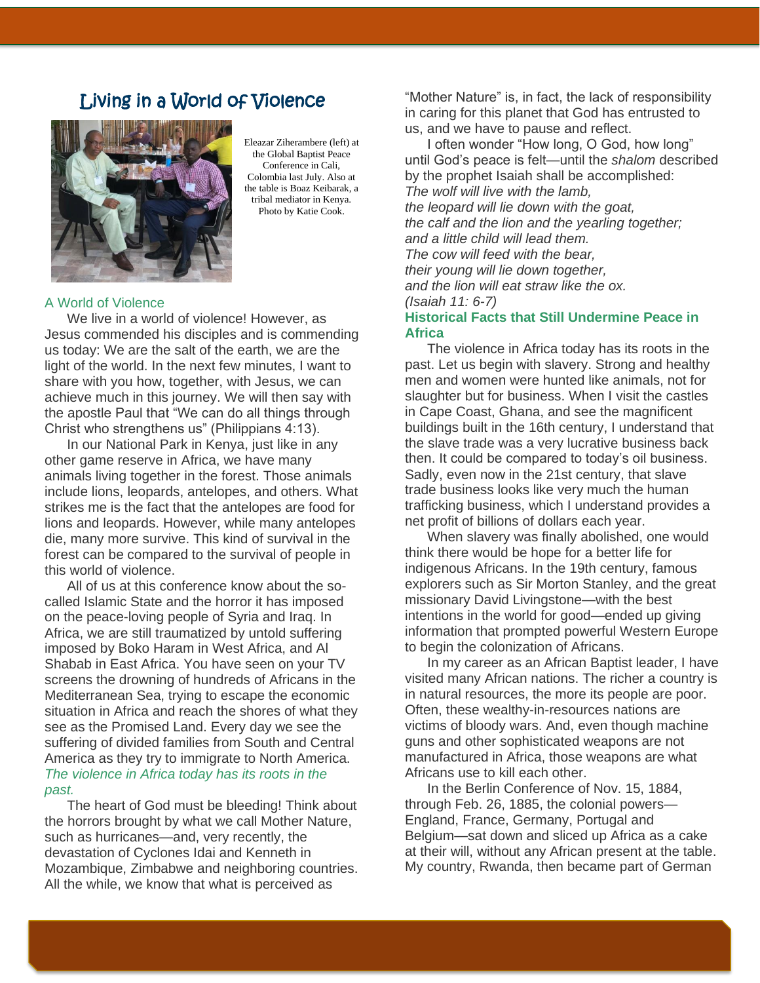## Living in a World of Violence

![](_page_5_Picture_1.jpeg)

Eleazar Ziherambere (left) at the Global Baptist Peace Conference in Cali, Colombia last July. Also at the table is Boaz Keibarak, a tribal mediator in Kenya. Photo by Katie Cook.

#### A World of Violence

We live in a world of violence! However, as Jesus commended his disciples and is commending us today: We are the salt of the earth, we are the light of the world. In the next few minutes, I want to share with you how, together, with Jesus, we can achieve much in this journey. We will then say with the apostle Paul that "We can do all things through Christ who strengthens us" (Philippians 4:13).

In our National Park in Kenya, just like in any other game reserve in Africa, we have many animals living together in the forest. Those animals include lions, leopards, antelopes, and others. What strikes me is the fact that the antelopes are food for lions and leopards. However, while many antelopes die, many more survive. This kind of survival in the forest can be compared to the survival of people in this world of violence.

All of us at this conference know about the socalled Islamic State and the horror it has imposed on the peace-loving people of Syria and Iraq. In Africa, we are still traumatized by untold suffering imposed by Boko Haram in West Africa, and Al Shabab in East Africa. You have seen on your TV screens the drowning of hundreds of Africans in the Mediterranean Sea, trying to escape the economic situation in Africa and reach the shores of what they see as the Promised Land. Every day we see the suffering of divided families from South and Central America as they try to immigrate to North America. *The violence in Africa today has its roots in the past.*

The heart of God must be bleeding! Think about the horrors brought by what we call Mother Nature, such as hurricanes—and, very recently, the devastation of Cyclones Idai and Kenneth in Mozambique, Zimbabwe and neighboring countries. All the while, we know that what is perceived as

"Mother Nature" is, in fact, the lack of responsibility in caring for this planet that God has entrusted to us, and we have to pause and reflect.

I often wonder "How long, O God, how long" until God's peace is felt—until the *shalom* described by the prophet Isaiah shall be accomplished: *The wolf will live with the lamb, the leopard will lie down with the goat, the calf and the lion and the yearling together; and a little child will lead them. The cow will feed with the bear, their young will lie down together, and the lion will eat straw like the ox. (Isaiah 11: 6-7)* **Historical Facts that Still Undermine Peace in Africa**

The violence in Africa today has its roots in the past. Let us begin with slavery. Strong and healthy men and women were hunted like animals, not for slaughter but for business. When I visit the castles in Cape Coast, Ghana, and see the magnificent buildings built in the 16th century, I understand that the slave trade was a very lucrative business back then. It could be compared to today's oil business. Sadly, even now in the 21st century, that slave trade business looks like very much the human trafficking business, which I understand provides a net profit of billions of dollars each year.

When slavery was finally abolished, one would think there would be hope for a better life for indigenous Africans. In the 19th century, famous explorers such as Sir Morton Stanley, and the great missionary David Livingstone—with the best intentions in the world for good—ended up giving information that prompted powerful Western Europe to begin the colonization of Africans.

In my career as an African Baptist leader, I have visited many African nations. The richer a country is in natural resources, the more its people are poor. Often, these wealthy-in-resources nations are victims of bloody wars. And, even though machine guns and other sophisticated weapons are not manufactured in Africa, those weapons are what Africans use to kill each other.

In the Berlin Conference of Nov. 15, 1884, through Feb. 26, 1885, the colonial powers— England, France, Germany, Portugal and Belgium—sat down and sliced up Africa as a cake at their will, without any African present at the table. My country, Rwanda, then became part of German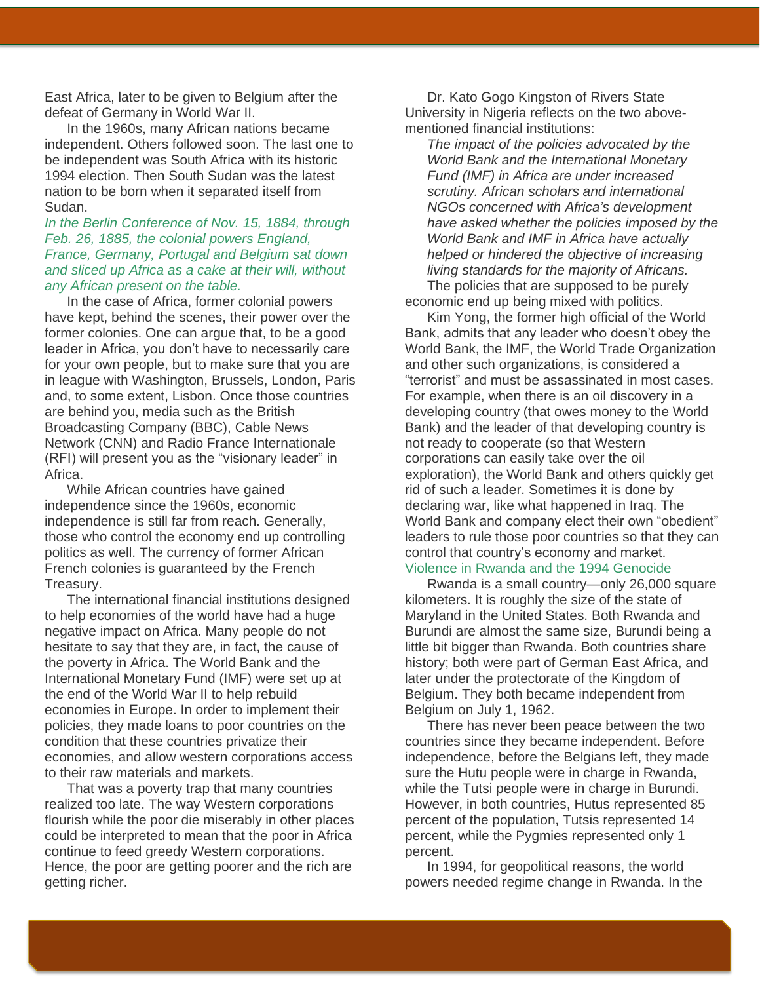East Africa, later to be given to Belgium after the defeat of Germany in World War II.

In the 1960s, many African nations became independent. Others followed soon. The last one to be independent was South Africa with its historic 1994 election. Then South Sudan was the latest nation to be born when it separated itself from Sudan.

#### *In the Berlin Conference of Nov. 15, 1884, through Feb. 26, 1885, the colonial powers England, France, Germany, Portugal and Belgium sat down and sliced up Africa as a cake at their will, without any African present on the table.*

In the case of Africa, former colonial powers have kept, behind the scenes, their power over the former colonies. One can argue that, to be a good leader in Africa, you don't have to necessarily care for your own people, but to make sure that you are in league with Washington, Brussels, London, Paris and, to some extent, Lisbon. Once those countries are behind you, media such as the British Broadcasting Company (BBC), Cable News Network (CNN) and Radio France Internationale (RFI) will present you as the "visionary leader" in Africa.

While African countries have gained independence since the 1960s, economic independence is still far from reach. Generally, those who control the economy end up controlling politics as well. The currency of former African French colonies is guaranteed by the French Treasury.

The international financial institutions designed to help economies of the world have had a huge negative impact on Africa. Many people do not hesitate to say that they are, in fact, the cause of the poverty in Africa. The World Bank and the International Monetary Fund (IMF) were set up at the end of the World War II to help rebuild economies in Europe. In order to implement their policies, they made loans to poor countries on the condition that these countries privatize their economies, and allow western corporations access to their raw materials and markets.

That was a poverty trap that many countries realized too late. The way Western corporations flourish while the poor die miserably in other places could be interpreted to mean that the poor in Africa continue to feed greedy Western corporations. Hence, the poor are getting poorer and the rich are getting richer.

Dr. Kato Gogo Kingston of Rivers State University in Nigeria reflects on the two abovementioned financial institutions:

*The impact of the policies advocated by the World Bank and the International Monetary Fund (IMF) in Africa are under increased scrutiny. African scholars and international NGOs concerned with Africa's development have asked whether the policies imposed by the World Bank and IMF in Africa have actually helped or hindered the objective of increasing living standards for the majority of Africans.* The policies that are supposed to be purely economic end up being mixed with politics.

Kim Yong, the former high official of the World Bank, admits that any leader who doesn't obey the World Bank, the IMF, the World Trade Organization and other such organizations, is considered a "terrorist" and must be assassinated in most cases. For example, when there is an oil discovery in a developing country (that owes money to the World Bank) and the leader of that developing country is not ready to cooperate (so that Western corporations can easily take over the oil exploration), the World Bank and others quickly get rid of such a leader. Sometimes it is done by declaring war, like what happened in Iraq. The World Bank and company elect their own "obedient" leaders to rule those poor countries so that they can control that country's economy and market. Violence in Rwanda and the 1994 Genocide

Rwanda is a small country—only 26,000 square kilometers. It is roughly the size of the state of Maryland in the United States. Both Rwanda and Burundi are almost the same size, Burundi being a little bit bigger than Rwanda. Both countries share history; both were part of German East Africa, and later under the protectorate of the Kingdom of Belgium. They both became independent from Belgium on July 1, 1962.

There has never been peace between the two countries since they became independent. Before independence, before the Belgians left, they made sure the Hutu people were in charge in Rwanda, while the Tutsi people were in charge in Burundi. However, in both countries, Hutus represented 85 percent of the population, Tutsis represented 14 percent, while the Pygmies represented only 1 percent.

In 1994, for geopolitical reasons, the world powers needed regime change in Rwanda. In the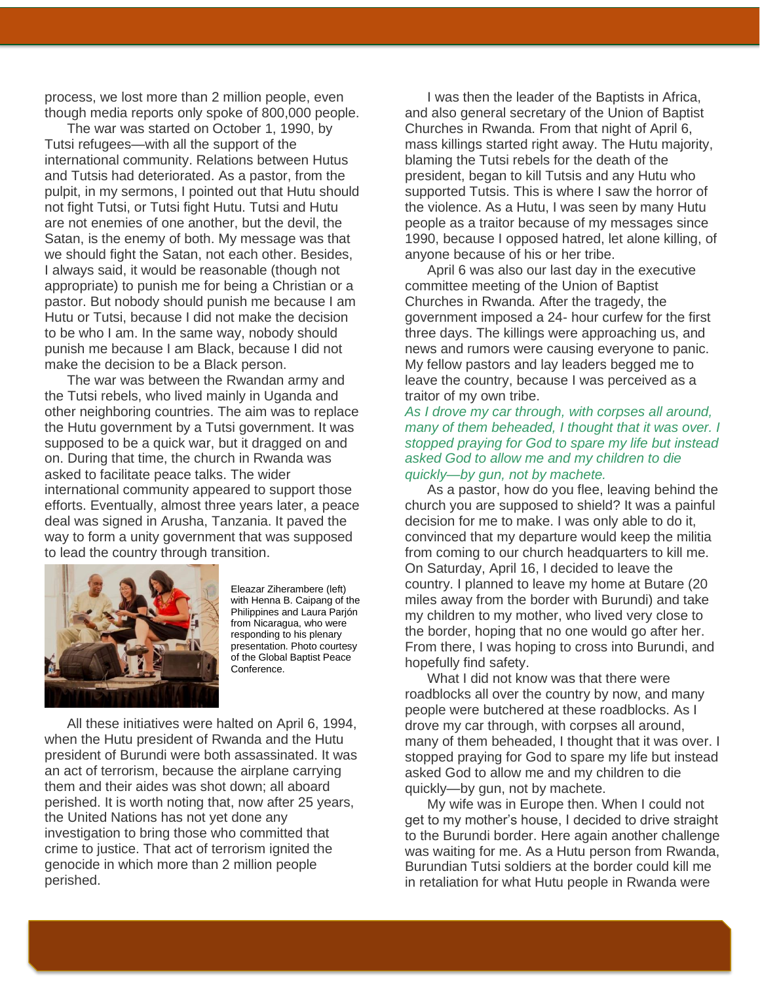process, we lost more than 2 million people, even though media reports only spoke of 800,000 people.

The war was started on October 1, 1990, by Tutsi refugees—with all the support of the international community. Relations between Hutus and Tutsis had deteriorated. As a pastor, from the pulpit, in my sermons, I pointed out that Hutu should not fight Tutsi, or Tutsi fight Hutu. Tutsi and Hutu are not enemies of one another, but the devil, the Satan, is the enemy of both. My message was that we should fight the Satan, not each other. Besides, I always said, it would be reasonable (though not appropriate) to punish me for being a Christian or a pastor. But nobody should punish me because I am Hutu or Tutsi, because I did not make the decision to be who I am. In the same way, nobody should punish me because I am Black, because I did not make the decision to be a Black person.

The war was between the Rwandan army and the Tutsi rebels, who lived mainly in Uganda and other neighboring countries. The aim was to replace the Hutu government by a Tutsi government. It was supposed to be a quick war, but it dragged on and on. During that time, the church in Rwanda was asked to facilitate peace talks. The wider international community appeared to support those efforts. Eventually, almost three years later, a peace deal was signed in Arusha, Tanzania. It paved the way to form a unity government that was supposed to lead the country through transition.

![](_page_7_Picture_3.jpeg)

Eleazar Ziherambere (left) with Henna B. Caipang of the Philippines and Laura Parjón from Nicaragua, who were responding to his plenary presentation. Photo courtesy of the Global Baptist Peace Conference.

All these initiatives were halted on April 6, 1994, when the Hutu president of Rwanda and the Hutu president of Burundi were both assassinated. It was an act of terrorism, because the airplane carrying them and their aides was shot down; all aboard perished. It is worth noting that, now after 25 years, the United Nations has not yet done any investigation to bring those who committed that crime to justice. That act of terrorism ignited the genocide in which more than 2 million people perished.

I was then the leader of the Baptists in Africa, and also general secretary of the Union of Baptist Churches in Rwanda. From that night of April 6, mass killings started right away. The Hutu majority, blaming the Tutsi rebels for the death of the president, began to kill Tutsis and any Hutu who supported Tutsis. This is where I saw the horror of the violence. As a Hutu, I was seen by many Hutu people as a traitor because of my messages since 1990, because I opposed hatred, let alone killing, of anyone because of his or her tribe.

April 6 was also our last day in the executive committee meeting of the Union of Baptist Churches in Rwanda. After the tragedy, the government imposed a 24- hour curfew for the first three days. The killings were approaching us, and news and rumors were causing everyone to panic. My fellow pastors and lay leaders begged me to leave the country, because I was perceived as a traitor of my own tribe.

*As I drove my car through, with corpses all around, many of them beheaded, I thought that it was over. I stopped praying for God to spare my life but instead asked God to allow me and my children to die quickly—by gun, not by machete.*

As a pastor, how do you flee, leaving behind the church you are supposed to shield? It was a painful decision for me to make. I was only able to do it, convinced that my departure would keep the militia from coming to our church headquarters to kill me. On Saturday, April 16, I decided to leave the country. I planned to leave my home at Butare (20 miles away from the border with Burundi) and take my children to my mother, who lived very close to the border, hoping that no one would go after her. From there, I was hoping to cross into Burundi, and hopefully find safety.

What I did not know was that there were roadblocks all over the country by now, and many people were butchered at these roadblocks. As I drove my car through, with corpses all around, many of them beheaded, I thought that it was over. I stopped praying for God to spare my life but instead asked God to allow me and my children to die quickly—by gun, not by machete.

My wife was in Europe then. When I could not get to my mother's house, I decided to drive straight to the Burundi border. Here again another challenge was waiting for me. As a Hutu person from Rwanda, Burundian Tutsi soldiers at the border could kill me in retaliation for what Hutu people in Rwanda were